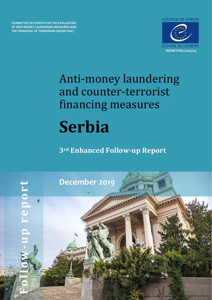**COUNCIL OF EUROPE** 

**COMMITTEE OF EXPERTS ON THE EVALUATION OF ANTI-MONEY LAUNDERING MEASURES AND THE FINANCING OF TERRORISM (MONEYVAL)**



# Anti-money laundering and counter-terrorist financing measures **Serbia**

**3rd Enhanced Follow-up Report** 

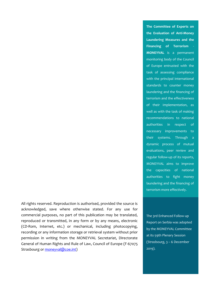All rights reserved. Reproduction is authorised, provided the source is acknowledged, save where otherwise stated. For any use for commercial purposes, no part of this publication may be translated, reproduced or transmitted, in any form or by any means, electronic (CD-Rom, Internet, etc.) or mechanical, including photocopying, recording or any information storage or retrieval system without prior permission in writing from the MONEYVAL Secretariat, Directorate General of Human Rights and Rule of Law, Council of Europe (F-67075 Strasbourg or [moneyval@coe.int\)](mailto:moneyval@coe.int)

The 3rd Enhanced Follow-up Report on Serbia was adopted by the MONEYVAL Committee at its 59th Plenary Session (Strasbourg, 3 – 6 December 2019).

**the Evaluation of Anti-Money Laundering Measures and the Financing of Terrorism** - **MONEYVAL** is a permanent monitoring body of the Council of Europe entrusted with the task of assessing compliance with the principal international standards to counter money laundering and the financing of terrorism and the effectiveness of their implementation, as well as with the task of making recommendations to national authorities in respect of necessary improvements to their systems. Through a dynamic process of mutual evaluations, peer review and regular follow-up of its reports, MONEYVAL aims to improve the capacities of national authorities to fight money laundering and the financing of terrorism more effectively.

**The Committee of Experts on**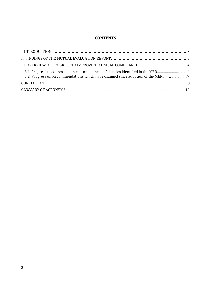# **CONTENTS**

| 3.1. Progress to address technical compliance deficiencies identified in the MER4<br>3.2. Progress on Recommendations which have changed since adoption of the MER7 |  |
|---------------------------------------------------------------------------------------------------------------------------------------------------------------------|--|
|                                                                                                                                                                     |  |
|                                                                                                                                                                     |  |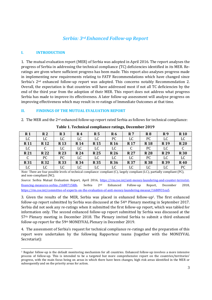# *Serbia: 3rd Enhanced Follow-up Report*

#### <span id="page-3-0"></span>**I. INTRODUCTION**

1. The mutual evaluation report (MER) of Serbia was adopted in April 2016. The report analyses the progress of Serbia in addressing the technical compliance (TC) deficiencies identified in its MER. Reratings are given where sufficient progress has been made. This report also analyses progress made in implementing new requirements relating to FATF Recommendations which have changed since Serbia's 2nd enhanced follow-up report was adopted. This concerns notably Recommendation 2. Overall, the expectation is that countries will have addressed most if not all TC deficiencies by the end of the third year from the adoption of their MER. This report does not address what progress Serbia has made to improve its effectiveness. A later follow-up assessment will analyse progress on improving effectiveness which may result in re-ratings of Immediate Outcomes at that time.

#### **II. FINDINGS OF THE MUTUAL EVALUATION REPORT**

2. The MER and the 2nd enhanced follow-up report rated Serbia as follows for technical compliance:

| R <sub>1</sub> | R <sub>2</sub> | R <sub>3</sub> | $\mathbf{R} 4$ | R <sub>5</sub> | R <sub>6</sub>  | R <sub>7</sub> | R <sub>8</sub> | R9         | <b>R10</b> |
|----------------|----------------|----------------|----------------|----------------|-----------------|----------------|----------------|------------|------------|
| LC             | LC             | LC             | LC             | LC             | PC              | LC             | PC             | LC         | LC         |
| <b>R11</b>     | <b>R12</b>     | <b>R13</b>     | <b>R14</b>     | <b>R15</b>     | R <sub>16</sub> | <b>R17</b>     | <b>R18</b>     | <b>R19</b> | <b>R20</b> |
| LC             | U              | LC             | LC             | LC             | LC              | U              | PC             | LC         | ◡          |
| <b>R21</b>     | <b>R22</b>     | <b>R23</b>     | <b>R24</b>     | <b>R25</b>     | <b>R26</b>      | <b>R27</b>     | <b>R28</b>     | <b>R29</b> | <b>R30</b> |
| C              | PC             | PC             | LC             | LC             | LC              | LC             | PC             | LC         | LC         |
| <b>R31</b>     | <b>R32</b>     | <b>R33</b>     | <b>R34</b>     | <b>R35</b>     | <b>R36</b>      | <b>R37</b>     | <b>R38</b>     | <b>R39</b> | <b>R40</b> |
| LC             | LC             | LC             | LC             | LC             | LC              | LC             | LC             | LC         | PC         |

#### **Table 1. Technical compliance ratings, December 2019**

*Note:* There are four possible levels of technical compliance: compliant (C), largely compliant (LC), partially compliant (PC), and non-compliant (NC).

*Source*: Serbia Mutual Evaluation Report, April 2016, [https://rm.coe.int/anti-money-laundering-and-counter-terrorist](https://rm.coe.int/anti-money-laundering-and-counter-terrorist-financing-measures-serbia-/1680715fdb)[financing-measures-serbia-/1680715fdb.](https://rm.coe.int/anti-money-laundering-and-counter-terrorist-financing-measures-serbia-/1680715fdb) Serbia 2nd Enhanced Follow-up Report, December 2018, [https://rm.coe.int/committee-of-experts-on-the-evaluation-of-anti-money-laundering-measur/1680931ea5.](https://rm.coe.int/committee-of-experts-on-the-evaluation-of-anti-money-laundering-measur/1680931ea5)

3. Given the results of the MER, Serbia was placed in enhanced follow-up1. The first enhanced follow-up report submitted by Serbia was discussed at the 54th Plenary meeting in September 2017. Serbia did not seek any re-ratings when it submitted the first follow-up report, which was tabled for information only. The second enhanced follow-up report submitted by Serbia was discussed at the 57th Plenary meeting in December 2018. The Plenary invited Serbia to submit a third enhanced follow-up report for the 59th MONEYVAL Plenary in December 2019.

4. The assessment of Serbia's request for technical compliance re-ratings and the preparation of this report were undertaken by the following Rapporteur teams (together with the MONEYVAL Secretariat):

<sup>1</sup> Regular follow-up is the default monitoring mechanism for all countries. Enhanced follow-up involves a more intensive process of follow-up. This is intended to be a targeted but more comprehensive report on the countries/territories' progress, with the main focus being on areas in which there have been changes, high risk areas identified in the MER or subsequently and on the priority areas for action.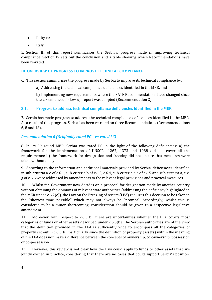- Bulgaria
- **Italy**

5. Section III of this report summarises the Serbia's progress made in improving technical compliance. Section IV sets out the conclusion and a table showing which Recommendations have been re-rated.

#### **III. OVERVIEW OF PROGRESS TO IMPROVE TECHNICAL COMPLIANCE**

6. This section summarises the progress made by Serbia to improve its technical compliance by:

a) Addressing the technical compliance deficiencies identified in the MER, and

b) Implementing new requirements where the FATF Recommendations have changed since the 2nd enhanced follow-up report was adopted (Recommendation 2).

## **3.1. Progress to address technical compliance deficiencies identified in the MER**

7. Serbia has made progress to address the technical compliance deficiencies identified in the MER. As a result of this progress, Serbia has been re-rated on three Recommendations (Recommendations 6, 8 and 18).

## *Recommendation 6 (Originally rated PC – re-rated LC)*

8. In its  $5<sup>th</sup>$  round MER, Serbia was rated PC in the light of the following deficiencies: a) the framework for the implementation of UNSCRs 1267, 1373 and 1988 did not cover all the requirements; b) the framework for designation and freezing did not ensure that measures were taken without delay.

9. According to the information and additional materials provided by Serbia, deficiencies identified in sub-criteria a-e of c.6.1, sub-criteria b of c.6.2, c.6.4, sub-criteria c-e of c.6.5 and sub-criteria a, c-e, g of c.6.6 were addressed by amendments to the relevant legal provisions and practical measures.

10. Whilst the Government now decides on a proposal for designation made by another country without obtaining the opinions of relevant state authorities (addressing the deficiency highlighted in the MER under c.6.2(c)), the Law on the Freezing of Assets (LFA) requires this decision to be taken in the "shortest time possible" which may not always be "prompt". Accordingly, whilst this is considered to be a minor shortcoming, consideration should be given to a respective legislative amendment.

11. Moreover, with respect to c.6.5(b), there are uncertainties whether the LFA covers most categories of funds or other assets described under c.6.5(b). The Serbian authorities are of the view that the definition provided in the LFA is sufficiently wide to encompass all the categories of property set out in c.6.5(b), particularly since the definition of property (assets) within the meaning of the LFA does not make a difference between the concepts of ownership, co-ownership, possession or co-possession.

12. However, this review is not clear how the Law could apply to funds or other assets that are jointly owned in practice, considering that there are no cases that could support Serbia's position.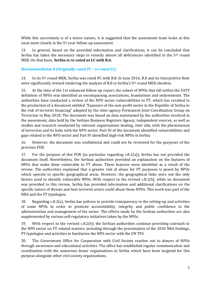While this uncertainty is of a minor nature, it is suggested that the assessment team looks at this issue more closely in the 5<sup>th</sup> year follow-up assessment.

13. In general, based on the provided information and clarifications, it can be concluded that Serbia has taken the necessary steps to remedy almost all deficiencies identified in the  $5<sup>th</sup>$  round MER. On that basis, **Serbia is re-rated as LC with R.6.**

#### *Recommendation 8 (Originally rated PC – re-rated LC)*

14. In its 5<sup>th</sup> round MER, Serbia was rated PC with R.8. In June 2016, R.8 and its Interpretive Note were significantly revised rendering the analysis of R.8 in Serbia's  $5<sup>th</sup>$  round MER obsolete.

15. At the time of the 1st enhanced follow-up report, the subset of NPOs that fall within the FATF definition of NPOs was identified as encompassing associations, foundations and endowments. The authorities have conducted a review of the NPO sector vulnerabilities to FT, which has resulted in the production of a document entitled "Exposure of the non-profit sector in the Republic of Serbia to the risk of terrorist financing" adopted by the inter-agency Permanent Joint Coordination Group on Terrorism in May 2018. The document was based on data maintained by the authorities involved in the assessment, data held by the Serbian Business Registers Agency, independent sources, as well as studies and research conducted by relevant organisations dealing, *inter alia*, with the phenomenon of terrorism and its links with the NPO sector. Part III of the document identified vulnerabilities and gaps related to the NPO sector and Part IV identified high-risk NPOs in Serbia.

16. However, the document was confidential and could not be reviewed for the purposes of the previous FUR.

17. For the purpose of this FUR (in particular regarding c.8.1(a)), Serbia has not provided the document itself. Nevertheless, the Serbian authorities provided an explanation on the features of NPOs that make them vulnerable to FT abuse. These features were identified as a result of the review. The authorities explained that a greater risk of abuse for FT purposes is posed by NPOs which operate in specific geographical areas. However, the geographical links were not the only factors used to identify vulnerable NPOs. With respect to the revised c.8.1(b), while no document was provided to this review, Serbia has provided information and additional clarifications on the specific nature of threats and how terrorist actors could abuse those NPOs. This work was part of the NRA and the FT typologies.

18. Regarding c.8.2(a), Serbia has policies to provide transparency in the setting-up and activities of some NPOs in order to promote accountability, integrity and public confidence in the administration and management of the sector. The efforts made by the Serbian authorities are also supplemented by various self-regulatory initiatives taken by the NPOs.

19. With respect to the revised c.8.2(b), the Serbian authorities continue providing outreach to the NPO sector on FT-related matters, including through the presentation of the 2018 NRA findings, FT typologies and activities to familiarise the NPO sector with the UN TFS.

20. The Government Office for Cooperation with Civil Society reaches out to donors of NPOs through awareness and educational activities. The office has established regular communication and coordination with the numerous donor organisations in Serbia which have been targeted for this purpose alongside other civil society organisations.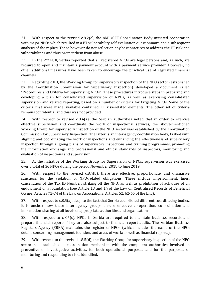21. With respect to the revised c.8.2(c), the AML/CFT Coordination Body initiated cooperation with major NPOs which resulted in a FT vulnerability self-evaluation questionnaire and a subsequent analysis of the replies. These however do not reflect on any best practices to address the FT risk and vulnerabilities and thus protect them from abuse.

22. In the 2<sup>nd</sup> FUR, Serbia reported that all registered NPOs are legal persons and, as such, are required to open and maintain a payment account with a payment service provider. However, no other additional measures have been taken to encourage the practical use of regulated financial channels.

23. Regarding c.8.3, the Working Group for supervisory inspection of the NPO sector (established by the Coordination Commission for Supervisory Inspection) developed a document called "Procedures and Criteria for Supervising NPOs". These procedures introduce steps in preparing and developing a plan for consolidated supervision of NPOs, as well as exercising consolidated supervision and related reporting, based on a number of criteria for targeting NPOs. Some of the criteria that were made available contained FT risk-related elements. The other set of criteria remains confidential and thus was not provided.

24. With respect to revised  $c.8.4(a)$ , the Serbian authorities noted that in order to exercise effective supervision and coordinate the work of inspectional services, the above-mentioned Working Group for supervisory inspection of the NPO sector was established by the Coordination Commission for Supervisory Inspection. The latter is an inter-agency coordination body, tasked with aligning and coordinating the work of inspections and enhancing the effectiveness of supervisory inspection through aligning plans of supervisory inspections and training programmes, promoting the information exchange and professional and ethical standards of inspectors, monitoring and evaluation of inspections and supervision.

25. At the initiative of the Working Group for Supervision of NPOs, supervision was exercised over a total of 36 NPOs during the period November 2018 to June 2019.

26. With respect to the revised c.8.4(b), there are effective, proportionate, and dissuasive sanctions for the violation of NPO-related obligations. These include imprisonment, fines, cancellation of the Tax ID Number, striking off the NPO, as well as prohibition of activities of an endowment or a foundation (see Article 13 and 14 of the Law on Centralised Records of Beneficial Owner; Articles 72-74 of the Law on Associations; Articles 52, 62-65 of the LFE).

27. With respect to c.8.5(a), despite the fact that Serbia established different coordinating bodies, it is unclear how these inter-agency groups ensure effective co-operation, co-ordination and information-sharing at all levels of appropriate authorities and organisations.

28. With respect to c.8.5(c), NPOs in Serbia are required to maintain business records and prepare financial reports. They are also subject to financial report audits. The Serbian Business Registers Agency (SBRA) maintains the register of NPOs (which includes the name of the NPO; details concerning management, founders and areas of work; as well as financial reports).

29. With respect to the revised c.8.5(d), the Working Group for supervisory inspection of the NPO sector has established a coordination mechanism with the competent authorities involved in preventive or investigative activities, for both operational purposes and for the purposes of monitoring and responding to risks identified.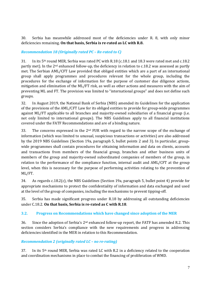30. Serbia has meanwhile addressed most of the deficiencies under R. 8, with only minor deficiencies remaining. **On that basis, Serbia is re-rated as LC with R.8.**

## *Recommendation 18 (Originally rated PC – Re-rated to C)*

31. In its 5th round MER, Serbia was rated PC with R.18 (c.18.1 and 18.3 were rated met and c.18.2 partly met). In the 2<sup>nd</sup> enhanced follow-up, the deficiency in relation to c.18.2 was assessed as partly met. The Serbian AML/CFT Law provided that obliged entities which are a part of an international group shall apply programmes and procedures relevant for the whole group, including the procedures for the exchange of information for the purpose of customer due diligence actions, mitigation and elimination of the ML/FT risk, as well as other actions and measures with the aim of preventing ML and FT. The provision was limited to "international groups" and does not define such groups.

32. In August 2019, the National Bank of Serbia (NBS) amended its Guidelines for the application of the provisions of the AML/CFT Law for its obliged entities to provide for group-wide programmes against ML/FT applicable to all branches and majority-owned subsidiaries of a financial group (i.e. not only limited to international groups). The NBS Guidelines apply to all financial institutions covered under the FATF Recommendations and are of a binding nature.

33. The concerns expressed in the  $2<sup>nd</sup>$  FUR with regard to the narrow scope of the exchange of information (which was limited to unusual, suspicious transactions or activities) are also addressed by the 2019 NBS Guidelines (Section 19a, paragraph 5, bullet points 2 and 3). In particular, groupwide programmes shall contain procedures for obtaining information and data on clients, accounts and transactions from members of the financial group, branches and other business units of members of the group and majority-owned subordinated companies of members of the group, in relation to the performance of the compliance function, internal audit and AML/CFT at the group level, when this is necessary for the purpose of performing activities relating to the prevention of ML/FT.

34. As regards c.18.2(c), the NBS Guidelines (Section 19a, paragraph 5, bullet point 4) provide for appropriate mechanisms to protect the confidentiality of information and data exchanged and used at the level of the group of companies, including the mechanisms to prevent tipping-off.

35. Serbia has made significant progress under R.18 by addressing all outstanding deficiencies under C.18.2. **On that basis, Serbia is re-rated as C with R.18**.

## **3.2. Progress on Recommendations which have changed since adoption of the MER**

36. Since the adoption of Serbia's  $2<sup>nd</sup>$  enhanced follow-up report, the FATF has amended R.2. This section considers Serbia's compliance with the new requirements and progress in addressing deficiencies identified in the MER in relation to this Recommendation.

## *Recommendation 2 (originally rated LC – no re-rating)*

 $37.$  In its  $5<sup>th</sup>$  round MER, Serbia was rated LC with R.2 in a deficiency related to the cooperation and coordination mechanisms in place to combat the financing of proliferation of WMD.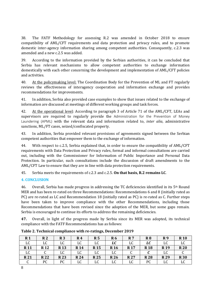38. The FATF Methodology for assessing R.2 was amended in October 2018 to ensure compatibility of AML/CFT requirements and data protection and privacy rules, and to promote domestic inter-agency information sharing among competent authorities. Consequently, c.2.3 was amended and a new c.2.5 was added.

39. According to the information provided by the Serbian authorities, it can be concluded that Serbia has relevant mechanisms to allow competent authorities to exchange information domestically with each other concerning the development and implementation of AML/CFT policies and activities.

40. At the policymaking level: The Coordination Body for the Prevention of ML and FT regularly reviews the effectiveness of interagency cooperation and information exchange and provides recommendations for improvements.

41. In addition, Serbia also provided case examples to show that issues related to the exchange of information are discussed at meetings of different working groups and task forces.

42. At the operational level: According to paragraph 3 of Article 71 of the AML/CFT, LEAs and supervisors are required to regularly provide the Administration for the Prevention of Money Laundering (APML) with the relevant data and information related to, *inter alia*, administrative sanctions, ML/FT cases, seized/confiscated property.

43. In addition, Serbia provided relevant provisions of agreements signed between the Serbian competent authorities that empower them to the exchange of information.

44. With respect to c.2.5, Serbia explained that, in order to ensure the compatibility of AML/CFT requirements with Data Protection and Privacy rules, formal and informal consultations are carried out, including with the Commissioner for Information of Public Importance and Personal Data Protection. In particular, such consultations include the discussion of draft amendments to the AML/CFT Law to ensure that they are in line with data protection requirements.

45. Serbia meets the requirements of c.2.3 and c.2.5. **On that basis, R.2 remains LC**.

#### **4. CONCLUSION**

46. Overall, Serbia has made progress in addressing the TC deficiencies identified in its  $5<sup>th</sup>$  Round MER and has been re-rated on three Recommendations: Recommendations 6 and 8 (initially rated as PC) are re-rated as LC and Recommendation 18 (initially rated as PC) is re-rated as C. Further steps have been taken to improve compliance with the other Recommendations, including those Recommendations that have been revised since the adoption of the MER, but some gaps remain. Serbia is encouraged to continue its efforts to address the remaining deficiencies.

**47.** Overall, in light of the progress made by Serbia since its MER was adopted, its technical compliance with the FATF Recommendations has as follows:

| R <sub>1</sub> | R <sub>2</sub> | R 3        | R4         | R <sub>5</sub> | R6          | R <sub>7</sub> | R8         | R9              | <b>R</b> 10 |
|----------------|----------------|------------|------------|----------------|-------------|----------------|------------|-----------------|-------------|
| LC             | LC             | LC         | LC         | LC             | LC          | LC             | LC         | LC              | ыu          |
| <b>R11</b>     | <b>R12</b>     | <b>R13</b> | <b>R14</b> | <b>R15</b>     | <b>R</b> 16 | <b>R17</b>     | <b>R18</b> | R <sub>19</sub> | <b>R20</b>  |
| LC             |                | LC         | LC         | LC             | LC          |                |            | LC              |             |
| <b>R21</b>     | <b>R22</b>     | <b>R23</b> | <b>R24</b> | <b>R25</b>     | <b>R26</b>  | <b>R27</b>     | <b>R28</b> | <b>R29</b>      | <b>R30</b>  |
|                | PC             | PC         | LC         | LC             | LC          | LC             | PC         | LC              | υu          |

**Table 2. Technical compliance with re-ratings, December 2019**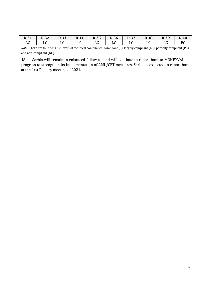| <b>R31</b> | ר ר<br>N JZ | D 22<br>R JJ | <b>R34</b> | <b>R35</b> | <b>R36</b> | דכ ם<br>r o | <b>R38</b> | <b>R39</b> | <b>R40</b> |
|------------|-------------|--------------|------------|------------|------------|-------------|------------|------------|------------|
| ച്ച        | പ്പ         | ப∪           | ப∪         | ыu         | പ്പ        | புப         | υu         | ப∪         | DC         |

*Note:* There are four possible levels of technical compliance: compliant (C), largely compliant (LC), partially compliant (PC), and non-compliant (NC).

48. Serbia will remain in enhanced follow-up and will continue to report back to MONEYVAL on progress to strengthen its implementation of AML/CFT measures. Serbia is expected to report back at the first Plenary meeting of 2021.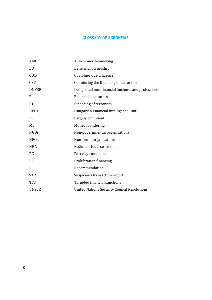## **GLOSSARY OF ACRONYMS**

| AML              | Anti-money laundering                              |
|------------------|----------------------------------------------------|
| <sub>BO</sub>    | Beneficial ownership                               |
| CDD              | Customer due diligence                             |
| <b>CFT</b>       | Countering the financing of terrorism              |
| <b>DNFBP</b>     | Designated non-financial business and professions  |
| <b>FI</b>        | <b>Financial institutions</b>                      |
| FT               | Financing of terrorism                             |
| <b>HFIU</b>      | Hungarian Financial Intelligence Unit              |
| LC               | Largely compliant                                  |
| ML               | Money laundering                                   |
| NGO <sub>s</sub> | Non-governmental organisations                     |
| <b>NPOs</b>      | Non-profit organisations                           |
| <b>NRA</b>       | National risk assessment                           |
| PC.              | Partially compliant                                |
| PF               | Proliferation financing                            |
| R                | Recommendation                                     |
| <b>STR</b>       | Suspicious transaction report                      |
| <b>TFS</b>       | Targeted financial sanctions                       |
| <b>UNSCR</b>     | <b>United Nations Security Council Resolutions</b> |